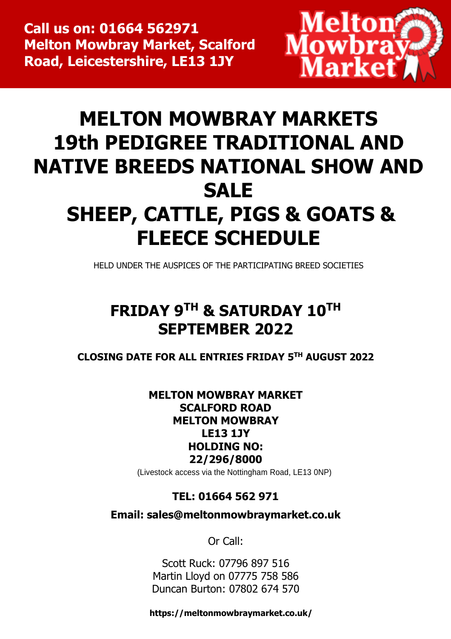

# **MELTON MOWBRAY MARKETS 19th PEDIGREE TRADITIONAL AND NATIVE BREEDS NATIONAL SHOW AND SALE SHEEP, CATTLE, PIGS & GOATS & FLEECE SCHEDULE**

HELD UNDER THE AUSPICES OF THE PARTICIPATING BREED SOCIETIES

# **FRIDAY 9TH & SATURDAY 10TH SEPTEMBER 2022**

**CLOSING DATE FOR ALL ENTRIES FRIDAY 5 TH AUGUST 2022**

# **MELTON MOWBRAY MARKET SCALFORD ROAD MELTON MOWBRAY LE13 1JY HOLDING NO: 22/296/8000**

(Livestock access via the Nottingham Road, LE13 0NP)

# **TEL: 01664 562 971**

**Email: [sales@meltonmowbraymarket.co.uk](mailto:sales@meltonmowbraymarket.co.uk)**

Or Call:

Scott Ruck: 07796 897 516 Martin Lloyd on 07775 758 586 Duncan Burton: 07802 674 570

 **https://meltonmowbraymarket.co.uk/**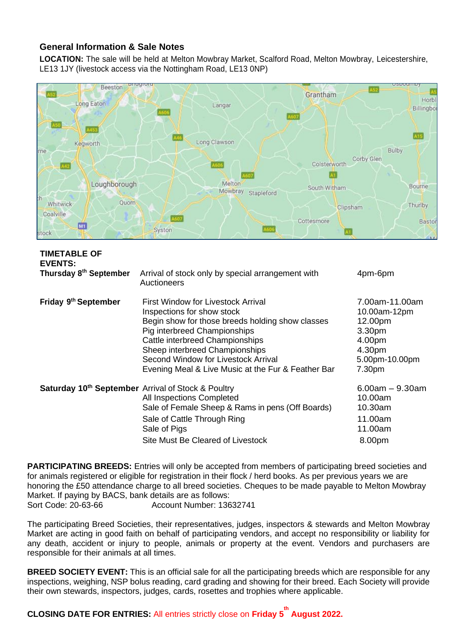#### **General Information & Sale Notes**

**LOCATION:** The sale will be held at Melton Mowbray Market, Scalford Road, Melton Mowbray, Leicestershire, LE13 1JY (livestock access via the Nottingham Road, LE13 0NP)



| <b>TIMETABLE OF</b><br><b>EVENTS:</b>                     |                                                                                                                                                                                                                                                                                                                        |                                                                                                     |
|-----------------------------------------------------------|------------------------------------------------------------------------------------------------------------------------------------------------------------------------------------------------------------------------------------------------------------------------------------------------------------------------|-----------------------------------------------------------------------------------------------------|
| Thursday 8th September                                    | Arrival of stock only by special arrangement with<br>Auctioneers                                                                                                                                                                                                                                                       | 4pm-6pm                                                                                             |
| Friday 9th September                                      | First Window for Livestock Arrival<br>Inspections for show stock<br>Begin show for those breeds holding show classes<br>Pig interbreed Championships<br>Cattle interbreed Championships<br>Sheep interbreed Championships<br>Second Window for Livestock Arrival<br>Evening Meal & Live Music at the Fur & Feather Bar | 7.00am-11.00am<br>10.00am-12pm<br>12.00pm<br>3.30pm<br>4.00pm<br>4.30pm<br>5.00pm-10.00pm<br>7.30pm |
| <b>Saturday 10th September</b> Arrival of Stock & Poultry | All Inspections Completed<br>Sale of Female Sheep & Rams in pens (Off Boards)<br>Sale of Cattle Through Ring<br>Sale of Pigs<br>Site Must Be Cleared of Livestock                                                                                                                                                      | $6.00$ am $-9.30$ am<br>10.00am<br>10.30am<br>11.00am<br>11.00am<br>8.00pm                          |

**PARTICIPATING BREEDS:** Entries will only be accepted from members of participating breed societies and for animals registered or eligible for registration in their flock / herd books. As per previous years we are honoring the £50 attendance charge to all breed societies. Cheques to be made payable to Melton Mowbray Market. If paying by BACS, bank details are as follows: Sort Code: 20-63-66 Account Number: 13632741

The participating Breed Societies, their representatives, judges, inspectors & stewards and Melton Mowbray Market are acting in good faith on behalf of participating vendors, and accept no responsibility or liability for any death, accident or injury to people, animals or property at the event. Vendors and purchasers are responsible for their animals at all times.

**BREED SOCIETY EVENT:** This is an official sale for all the participating breeds which are responsible for any inspections, weighing, NSP bolus reading, card grading and showing for their breed. Each Society will provide their own stewards, inspectors, judges, cards, rosettes and trophies where applicable.

**CLOSING DATE FOR ENTRIES:** All entries strictly close on **Friday 5 th August 2022.**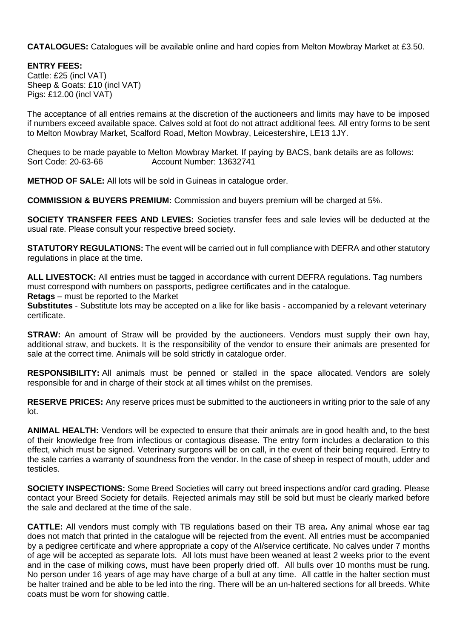**CATALOGUES:** Catalogues will be available online and hard copies from Melton Mowbray Market at £3.50.

**ENTRY FEES:** Cattle: £25 (incl VAT) Sheep & Goats: £10 (incl VAT) Pigs: £12.00 (incl VAT)

The acceptance of all entries remains at the discretion of the auctioneers and limits may have to be imposed if numbers exceed available space. Calves sold at foot do not attract additional fees. All entry forms to be sent to Melton Mowbray Market, Scalford Road, Melton Mowbray, Leicestershire, LE13 1JY.

Cheques to be made payable to Melton Mowbray Market. If paying by BACS, bank details are as follows: Sort Code: 20-63-66 Account Number: 13632741

**METHOD OF SALE:** All lots will be sold in Guineas in catalogue order.

**COMMISSION & BUYERS PREMIUM:** Commission and buyers premium will be charged at 5%.

**SOCIETY TRANSFER FEES AND LEVIES:** Societies transfer fees and sale levies will be deducted at the usual rate. Please consult your respective breed society.

**STATUTORY REGULATIONS:** The event will be carried out in full compliance with DEFRA and other statutory regulations in place at the time.

**ALL LIVESTOCK:** All entries must be tagged in accordance with current DEFRA regulations. Tag numbers must correspond with numbers on passports, pedigree certificates and in the catalogue.

**Retags** – must be reported to the Market

**Substitutes** - Substitute lots may be accepted on a like for like basis - accompanied by a relevant veterinary certificate.

**STRAW:** An amount of Straw will be provided by the auctioneers. Vendors must supply their own hay, additional straw, and buckets. It is the responsibility of the vendor to ensure their animals are presented for sale at the correct time. Animals will be sold strictly in catalogue order.

**RESPONSIBILITY:** All animals must be penned or stalled in the space allocated. Vendors are solely responsible for and in charge of their stock at all times whilst on the premises.

**RESERVE PRICES:** Any reserve prices must be submitted to the auctioneers in writing prior to the sale of any lot.

**ANIMAL HEALTH:** Vendors will be expected to ensure that their animals are in good health and, to the best of their knowledge free from infectious or contagious disease. The entry form includes a declaration to this effect, which must be signed. Veterinary surgeons will be on call, in the event of their being required. Entry to the sale carries a warranty of soundness from the vendor. In the case of sheep in respect of mouth, udder and testicles.

**SOCIETY INSPECTIONS:** Some Breed Societies will carry out breed inspections and/or card grading. Please contact your Breed Society for details. Rejected animals may still be sold but must be clearly marked before the sale and declared at the time of the sale.

**CATTLE:** All vendors must comply with TB regulations based on their TB area**.** Any animal whose ear tag does not match that printed in the catalogue will be rejected from the event. All entries must be accompanied by a pedigree certificate and where appropriate a copy of the AI/service certificate. No calves under 7 months of age will be accepted as separate lots. All lots must have been weaned at least 2 weeks prior to the event and in the case of milking cows, must have been properly dried off. All bulls over 10 months must be rung. No person under 16 years of age may have charge of a bull at any time. All cattle in the halter section must be halter trained and be able to be led into the ring. There will be an un-haltered sections for all breeds. White coats must be worn for showing cattle.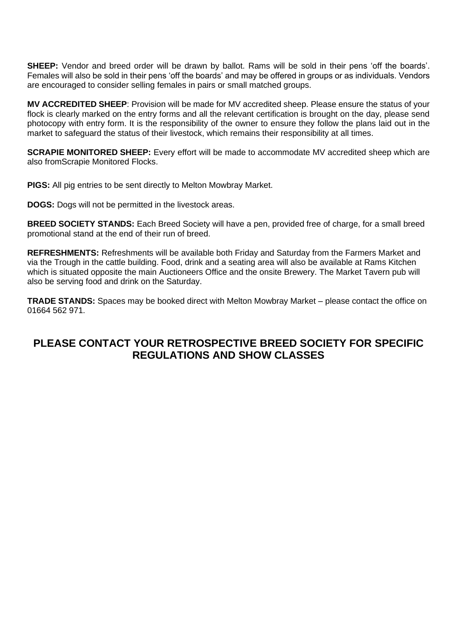**SHEEP:** Vendor and breed order will be drawn by ballot. Rams will be sold in their pens 'off the boards'. Females will also be sold in their pens 'off the boards' and may be offered in groups or as individuals. Vendors are encouraged to consider selling females in pairs or small matched groups.

**MV ACCREDITED SHEEP**: Provision will be made for MV accredited sheep. Please ensure the status of your flock is clearly marked on the entry forms and all the relevant certification is brought on the day, please send photocopy with entry form. It is the responsibility of the owner to ensure they follow the plans laid out in the market to safeguard the status of their livestock, which remains their responsibility at all times.

**SCRAPIE MONITORED SHEEP:** Every effort will be made to accommodate MV accredited sheep which are also fromScrapie Monitored Flocks.

**PIGS:** All pig entries to be sent directly to Melton Mowbray Market.

**DOGS:** Dogs will not be permitted in the livestock areas.

**BREED SOCIETY STANDS:** Each Breed Society will have a pen, provided free of charge, for a small breed promotional stand at the end of their run of breed.

**REFRESHMENTS:** Refreshments will be available both Friday and Saturday from the Farmers Market and via the Trough in the cattle building. Food, drink and a seating area will also be available at Rams Kitchen which is situated opposite the main Auctioneers Office and the onsite Brewery. The Market Tavern pub will also be serving food and drink on the Saturday.

**TRADE STANDS:** Spaces may be booked direct with Melton Mowbray Market – please contact the office on 01664 562 971.

## **PLEASE CONTACT YOUR RETROSPECTIVE BREED SOCIETY FOR SPECIFIC REGULATIONS AND SHOW CLASSES**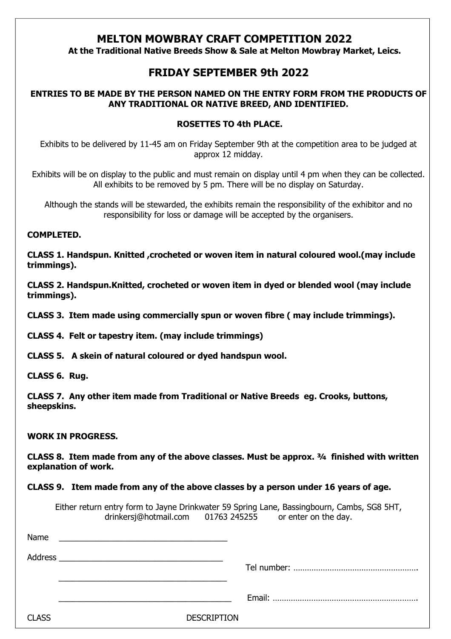## **MELTON MOWBRAY CRAFT COMPETITION 2022**

 **At the Traditional Native Breeds Show & Sale at Melton Mowbray Market, Leics.**

## **FRIDAY SEPTEMBER 9th 2022**

#### **ENTRIES TO BE MADE BY THE PERSON NAMED ON THE ENTRY FORM FROM THE PRODUCTS OF ANY TRADITIONAL OR NATIVE BREED, AND IDENTIFIED.**

#### **ROSETTES TO 4th PLACE.**

Exhibits to be delivered by 11-45 am on Friday September 9th at the competition area to be judged at approx 12 midday.

Exhibits will be on display to the public and must remain on display until 4 pm when they can be collected. All exhibits to be removed by 5 pm. There will be no display on Saturday.

Although the stands will be stewarded, the exhibits remain the responsibility of the exhibitor and no responsibility for loss or damage will be accepted by the organisers.

#### **COMPLETED.**

**CLASS 1. Handspun. Knitted ,crocheted or woven item in natural coloured wool.(may include trimmings).**

**CLASS 2. Handspun.Knitted, crocheted or woven item in dyed or blended wool (may include trimmings).**

**CLASS 3. Item made using commercially spun or woven fibre ( may include trimmings).**

**CLASS 4. Felt or tapestry item. (may include trimmings)**

**CLASS 5. A skein of natural coloured or dyed handspun wool.**

**CLASS 6. Rug.**

**CLASS 7. Any other item made from Traditional or Native Breeds eg. Crooks, buttons, sheepskins.**

#### **WORK IN PROGRESS.**

**CLASS 8. Item made from any of the above classes. Must be approx. ¾ finished with written explanation of work.**

**CLASS 9. Item made from any of the above classes by a person under 16 years of age.**

Either return entry form to Jayne Drinkwater 59 Spring Lane, Bassingbourn, Cambs, SG8 5HT, drinkersj@hotmail.com 01763 245255 or enter on the day.

| Name         | <u> 1980 - Jan Sterling von de Sterling von de Sterling von de Sterling von de Sterling von de Sterling von de S</u> |  |
|--------------|----------------------------------------------------------------------------------------------------------------------|--|
| Address      | <u> 1989 - Jan James James Sandarík (</u> † 1920)                                                                    |  |
|              |                                                                                                                      |  |
|              |                                                                                                                      |  |
|              |                                                                                                                      |  |
| <b>CLASS</b> | <b>DESCRIPTION</b>                                                                                                   |  |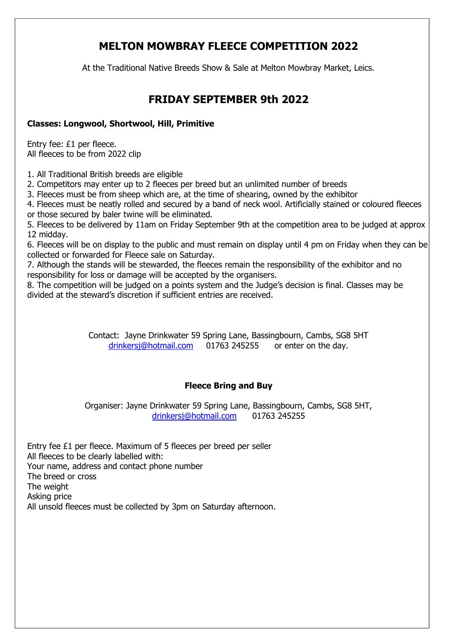# **MELTON MOWBRAY FLEECE COMPETITION 2022**

At the Traditional Native Breeds Show & Sale at Melton Mowbray Market, Leics.

# **FRIDAY SEPTEMBER 9th 2022**

#### **Classes: Longwool, Shortwool, Hill, Primitive**

Entry fee: £1 per fleece. All fleeces to be from 2022 clip

1. All Traditional British breeds are eligible

2. Competitors may enter up to 2 fleeces per breed but an unlimited number of breeds

3. Fleeces must be from sheep which are, at the time of shearing, owned by the exhibitor

4. Fleeces must be neatly rolled and secured by a band of neck wool. Artificially stained or coloured fleeces or those secured by baler twine will be eliminated.

5. Fleeces to be delivered by 11am on Friday September 9th at the competition area to be judged at approx 12 midday.

6. Fleeces will be on display to the public and must remain on display until 4 pm on Friday when they can be collected or forwarded for Fleece sale on Saturday.

7. Although the stands will be stewarded, the fleeces remain the responsibility of the exhibitor and no responsibility for loss or damage will be accepted by the organisers.

8. The competition will be judged on a points system and the Judge's decision is final. Classes may be divided at the steward's discretion if sufficient entries are received.

> Contact: Jayne Drinkwater 59 Spring Lane, Bassingbourn, Cambs, SG8 5HT [drinkersj@hotmail.com](mailto:drinkersj@hotmail.com) 01763 245255 or enter on the day.

#### **Fleece Bring and Buy**

Organiser: Jayne Drinkwater 59 Spring Lane, Bassingbourn, Cambs, SG8 5HT, [drinkersj@hotmail.com](mailto:drinkersj@hotmail.com) 01763 245255

Entry fee £1 per fleece. Maximum of 5 fleeces per breed per seller All fleeces to be clearly labelled with: Your name, address and contact phone number The breed or cross The weight Asking price All unsold fleeces must be collected by 3pm on Saturday afternoon.